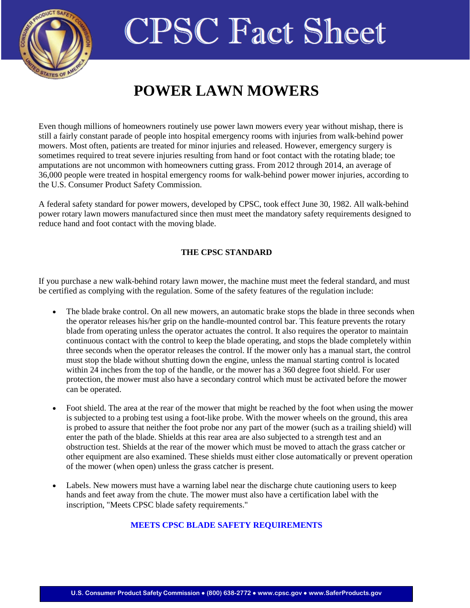

# **CPSC Fact Sheet**

# **POWER LAWN MOWERS**

Even though millions of homeowners routinely use power lawn mowers every year without mishap, there is still a fairly constant parade of people into hospital emergency rooms with injuries from walk-behind power mowers. Most often, patients are treated for minor injuries and released. However, emergency surgery is sometimes required to treat severe injuries resulting from hand or foot contact with the rotating blade; toe amputations are not uncommon with homeowners cutting grass. From 2012 through 2014, an average of 36,000 people were treated in hospital emergency rooms for walk-behind power mower injuries, according to the U.S. Consumer Product Safety Commission.

A federal safety standard for power mowers, developed by CPSC, took effect June 30, 1982. All walk-behind power rotary lawn mowers manufactured since then must meet the mandatory safety requirements designed to reduce hand and foot contact with the moving blade.

#### **THE CPSC STANDARD**

If you purchase a new walk-behind rotary lawn mower, the machine must meet the federal standard, and must be certified as complying with the regulation. Some of the safety features of the regulation include:

- The blade brake control. On all new mowers, an automatic brake stops the blade in three seconds when the operator releases his/her grip on the handle-mounted control bar. This feature prevents the rotary blade from operating unless the operator actuates the control. It also requires the operator to maintain continuous contact with the control to keep the blade operating, and stops the blade completely within three seconds when the operator releases the control. If the mower only has a manual start, the control must stop the blade without shutting down the engine, unless the manual starting control is located within 24 inches from the top of the handle, or the mower has a 360 degree foot shield. For user protection, the mower must also have a secondary control which must be activated before the mower can be operated.
- Foot shield. The area at the rear of the mower that might be reached by the foot when using the mower is subjected to a probing test using a foot-like probe. With the mower wheels on the ground, this area is probed to assure that neither the foot probe nor any part of the mower (such as a trailing shield) will enter the path of the blade. Shields at this rear area are also subjected to a strength test and an obstruction test. Shields at the rear of the mower which must be moved to attach the grass catcher or other equipment are also examined. These shields must either close automatically or prevent operation of the mower (when open) unless the grass catcher is present.
- Labels. New mowers must have a warning label near the discharge chute cautioning users to keep hands and feet away from the chute. The mower must also have a certification label with the inscription, "Meets CPSC blade safety requirements."

### **MEETS CPSC BLADE SAFETY REQUIREMENTS**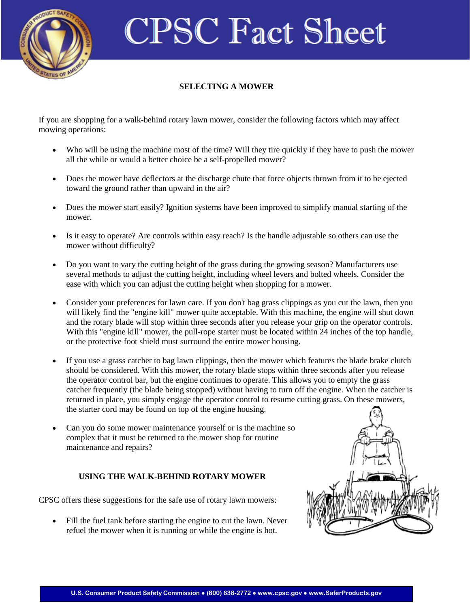

# **CPSC Fact Sheet**

## **SELECTING A MOWER**

If you are shopping for a walk-behind rotary lawn mower, consider the following factors which may affect mowing operations:

- Who will be using the machine most of the time? Will they tire quickly if they have to push the mower all the while or would a better choice be a self-propelled mower?
- Does the mower have deflectors at the discharge chute that force objects thrown from it to be ejected toward the ground rather than upward in the air?
- Does the mower start easily? Ignition systems have been improved to simplify manual starting of the mower.
- Is it easy to operate? Are controls within easy reach? Is the handle adjustable so others can use the mower without difficulty?
- Do you want to vary the cutting height of the grass during the growing season? Manufacturers use several methods to adjust the cutting height, including wheel levers and bolted wheels. Consider the ease with which you can adjust the cutting height when shopping for a mower.
- Consider your preferences for lawn care. If you don't bag grass clippings as you cut the lawn, then you will likely find the "engine kill" mower quite acceptable. With this machine, the engine will shut down and the rotary blade will stop within three seconds after you release your grip on the operator controls. With this "engine kill" mower, the pull-rope starter must be located within 24 inches of the top handle, or the protective foot shield must surround the entire mower housing.
- If you use a grass catcher to bag lawn clippings, then the mower which features the blade brake clutch should be considered. With this mower, the rotary blade stops within three seconds after you release the operator control bar, but the engine continues to operate. This allows you to empty the grass catcher frequently (the blade being stopped) without having to turn off the engine. When the catcher is returned in place, you simply engage the operator control to resume cutting grass. On these mowers, the starter cord may be found on top of the engine housing.
- Can you do some mower maintenance yourself or is the machine so complex that it must be returned to the mower shop for routine maintenance and repairs?

#### **USING THE WALK-BEHIND ROTARY MOWER**

CPSC offers these suggestions for the safe use of rotary lawn mowers:

Fill the fuel tank before starting the engine to cut the lawn. Never refuel the mower when it is running or while the engine is hot.